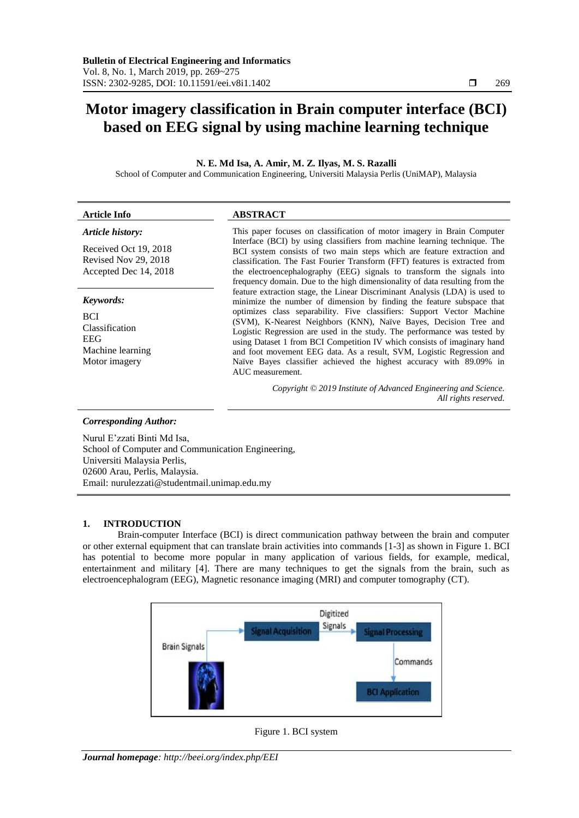# **Motor imagery classification in Brain computer interface (BCI) based on EEG signal by using machine learning technique**

**N. E. Md Isa, A. Amir, M. Z. Ilyas, M. S. Razalli**

School of Computer and Communication Engineering, Universiti Malaysia Perlis (UniMAP), Malaysia

| <b>Article Info</b>                                                                          | <b>ABSTRACT</b>                                                                                                                                                                                                                                                                                                                                                                                                                                                                                                                                                                                                                |  |  |  |  |  |
|----------------------------------------------------------------------------------------------|--------------------------------------------------------------------------------------------------------------------------------------------------------------------------------------------------------------------------------------------------------------------------------------------------------------------------------------------------------------------------------------------------------------------------------------------------------------------------------------------------------------------------------------------------------------------------------------------------------------------------------|--|--|--|--|--|
| Article history:<br>Received Oct 19, 2018<br>Revised Nov 29, 2018<br>Accepted Dec 14, 2018   | This paper focuses on classification of motor imagery in Brain Computer<br>Interface (BCI) by using classifiers from machine learning technique. The<br>BCI system consists of two main steps which are feature extraction and<br>classification. The Fast Fourier Transform (FFT) features is extracted from<br>the electroencephalography (EEG) signals to transform the signals into<br>frequency domain. Due to the high dimensionality of data resulting from the                                                                                                                                                         |  |  |  |  |  |
| Keywords:<br><b>BCI</b><br>Classification<br><b>EEG</b><br>Machine learning<br>Motor imagery | feature extraction stage, the Linear Discriminant Analysis (LDA) is used to<br>minimize the number of dimension by finding the feature subspace that<br>optimizes class separability. Five classifiers: Support Vector Machine<br>(SVM), K-Nearest Neighbors (KNN), Naïve Bayes, Decision Tree and<br>Logistic Regression are used in the study. The performance was tested by<br>using Dataset 1 from BCI Competition IV which consists of imaginary hand<br>and foot movement EEG data. As a result, SVM, Logistic Regression and<br>Naïve Bayes classifier achieved the highest accuracy with 89.09% in<br>AUC measurement. |  |  |  |  |  |
|                                                                                              | Copyright © 2019 Institute of Advanced Engineering and Science.<br>All rights reserved.                                                                                                                                                                                                                                                                                                                                                                                                                                                                                                                                        |  |  |  |  |  |
| <b>Corresponding Author:</b>                                                                 |                                                                                                                                                                                                                                                                                                                                                                                                                                                                                                                                                                                                                                |  |  |  |  |  |
| Nurul E'zzati Binti Md Isa,<br>School of Computer and Communication Engineering,             |                                                                                                                                                                                                                                                                                                                                                                                                                                                                                                                                                                                                                                |  |  |  |  |  |

Universiti Malaysia Perlis, 02600 Arau, Perlis, Malaysia. Email: nurulezzati@studentmail.unimap.edu.my

# **1. INTRODUCTION**

Brain-computer Interface (BCI) is direct communication pathway between the brain and computer or other external equipment that can translate brain activities into commands [1-3] as shown in Figure 1. BCI has potential to become more popular in many application of various fields, for example, medical, entertainment and military [4]. There are many techniques to get the signals from the brain, such as electroencephalogram (EEG), Magnetic resonance imaging (MRI) and computer tomography (CT).



Figure 1. BCI system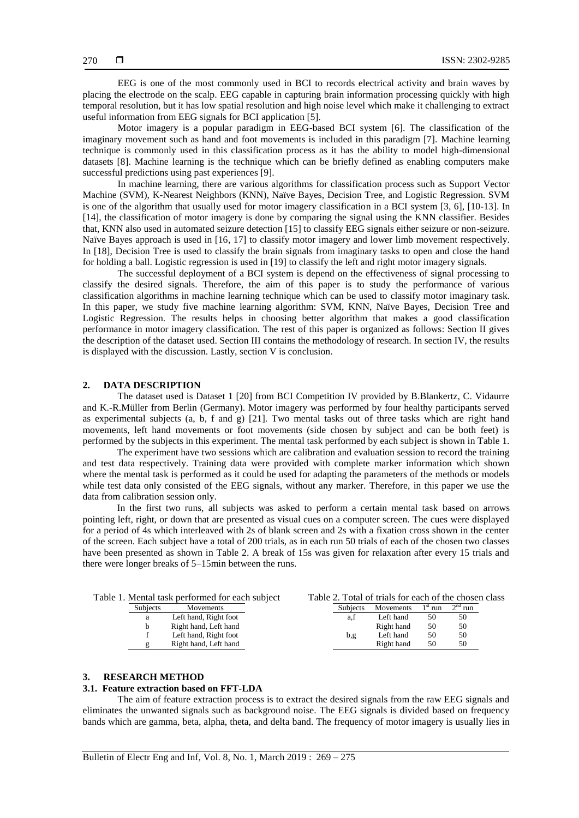EEG is one of the most commonly used in BCI to records electrical activity and brain waves by placing the electrode on the scalp. EEG capable in capturing brain information processing quickly with high temporal resolution, but it has low spatial resolution and high noise level which make it challenging to extract useful information from EEG signals for BCI application [5].

Motor imagery is a popular paradigm in EEG-based BCI system [6]. The classification of the imaginary movement such as hand and foot movements is included in this paradigm [7]. Machine learning technique is commonly used in this classification process as it has the ability to model high-dimensional datasets [8]. Machine learning is the technique which can be briefly defined as enabling computers make successful predictions using past experiences [9].

In machine learning, there are various algorithms for classification process such as Support Vector Machine (SVM), K-Nearest Neighbors (KNN), Naïve Bayes, Decision Tree, and Logistic Regression. SVM is one of the algorithm that usually used for motor imagery classification in a BCI system [3, 6], [10-13]. In [14], the classification of motor imagery is done by comparing the signal using the KNN classifier. Besides that, KNN also used in automated seizure detection [15] to classify EEG signals either seizure or non-seizure. Naïve Bayes approach is used in [16, 17] to classify motor imagery and lower limb movement respectively. In [18], Decision Tree is used to classify the brain signals from imaginary tasks to open and close the hand for holding a ball. Logistic regression is used in [19] to classify the left and right motor imagery signals.

The successful deployment of a BCI system is depend on the effectiveness of signal processing to classify the desired signals. Therefore, the aim of this paper is to study the performance of various classification algorithms in machine learning technique which can be used to classify motor imaginary task. In this paper, we study five machine learning algorithm: SVM, KNN, Naïve Bayes, Decision Tree and Logistic Regression. The results helps in choosing better algorithm that makes a good classification performance in motor imagery classification. The rest of this paper is organized as follows: Section II gives the description of the dataset used. Section III contains the methodology of research. In section IV, the results is displayed with the discussion. Lastly, section V is conclusion.

#### **2. DATA DESCRIPTION**

The dataset used is Dataset 1 [20] from BCI Competition IV provided by B.Blankertz, C. Vidaurre and K.-R.Müller from Berlin (Germany). Motor imagery was performed by four healthy participants served as experimental subjects (a, b, f and g) [21]. Two mental tasks out of three tasks which are right hand movements, left hand movements or foot movements (side chosen by subject and can be both feet) is performed by the subjects in this experiment. The mental task performed by each subject is shown in Table 1.

The experiment have two sessions which are calibration and evaluation session to record the training and test data respectively. Training data were provided with complete marker information which shown where the mental task is performed as it could be used for adapting the parameters of the methods or models while test data only consisted of the EEG signals, without any marker. Therefore, in this paper we use the data from calibration session only.

In the first two runs, all subjects was asked to perform a certain mental task based on arrows pointing left, right, or down that are presented as visual cues on a computer screen. The cues were displayed for a period of 4s which interleaved with 2s of blank screen and 2s with a fixation cross shown in the center of the screen. Each subject have a total of 200 trials, as in each run 50 trials of each of the chosen two classes have been presented as shown in Table 2. A break of 15s was given for relaxation after every 15 trials and there were longer breaks of 5–15min between the runs.

| Table 1. Mental task performed for each subject |                       |  | Table 2. Total of trials for each of the chosen class |            |           |           |  |
|-------------------------------------------------|-----------------------|--|-------------------------------------------------------|------------|-----------|-----------|--|
| <b>Subjects</b>                                 | Movements             |  | <b>Subjects</b>                                       | Movements  | $1st$ run | $2nd$ run |  |
| a                                               | Left hand, Right foot |  | a.t                                                   | Left hand  | 50        | 50        |  |
|                                                 | Right hand, Left hand |  |                                                       | Right hand | 50        | 50        |  |
|                                                 | Left hand, Right foot |  | b,g                                                   | Left hand  | 50        | 50        |  |
|                                                 | Right hand, Left hand |  |                                                       | Right hand | 50        | 50        |  |
|                                                 |                       |  |                                                       |            |           |           |  |

## **3. RESEARCH METHOD**

## **3.1. Feature extraction based on FFT-LDA**

The aim of feature extraction process is to extract the desired signals from the raw EEG signals and eliminates the unwanted signals such as background noise. The EEG signals is divided based on frequency bands which are gamma, beta, alpha, theta, and delta band. The frequency of motor imagery is usually lies in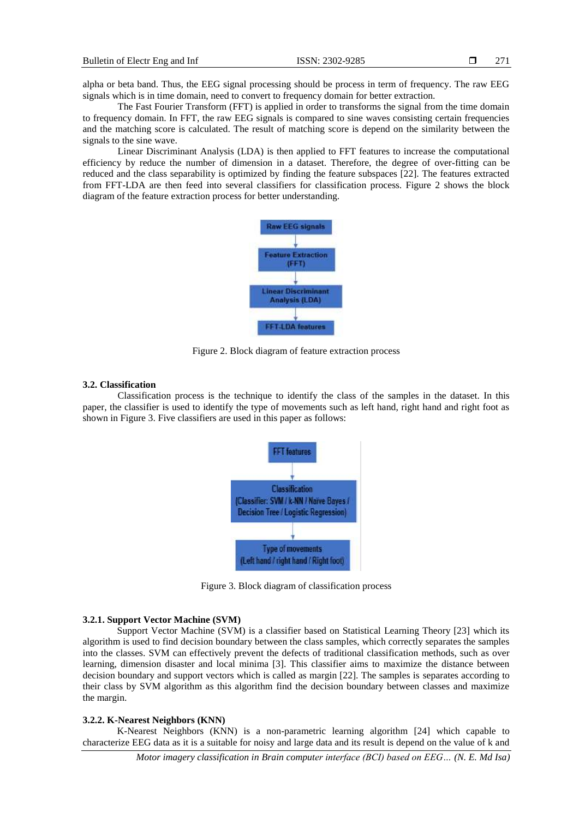alpha or beta band. Thus, the EEG signal processing should be process in term of frequency. The raw EEG signals which is in time domain, need to convert to frequency domain for better extraction.

The Fast Fourier Transform (FFT) is applied in order to transforms the signal from the time domain to frequency domain. In FFT, the raw EEG signals is compared to sine waves consisting certain frequencies and the matching score is calculated. The result of matching score is depend on the similarity between the signals to the sine wave.

Linear Discriminant Analysis (LDA) is then applied to FFT features to increase the computational efficiency by reduce the number of dimension in a dataset. Therefore, the degree of over-fitting can be reduced and the class separability is optimized by finding the feature subspaces [22]. The features extracted from FFT-LDA are then feed into several classifiers for classification process. Figure 2 shows the block diagram of the feature extraction process for better understanding.



Figure 2. Block diagram of feature extraction process

#### **3.2. Classification**

Classification process is the technique to identify the class of the samples in the dataset. In this paper, the classifier is used to identify the type of movements such as left hand, right hand and right foot as shown in Figure 3. Five classifiers are used in this paper as follows:



Figure 3. Block diagram of classification process

#### **3.2.1. Support Vector Machine (SVM)**

Support Vector Machine (SVM) is a classifier based on Statistical Learning Theory [23] which its algorithm is used to find decision boundary between the class samples, which correctly separates the samples into the classes. SVM can effectively prevent the defects of traditional classification methods, such as over learning, dimension disaster and local minima [3]. This classifier aims to maximize the distance between decision boundary and support vectors which is called as margin [22]. The samples is separates according to their class by SVM algorithm as this algorithm find the decision boundary between classes and maximize the margin.

# **3.2.2. K-Nearest Neighbors (KNN)**

K-Nearest Neighbors (KNN) is a non-parametric learning algorithm [24] which capable to characterize EEG data as it is a suitable for noisy and large data and its result is depend on the value of k and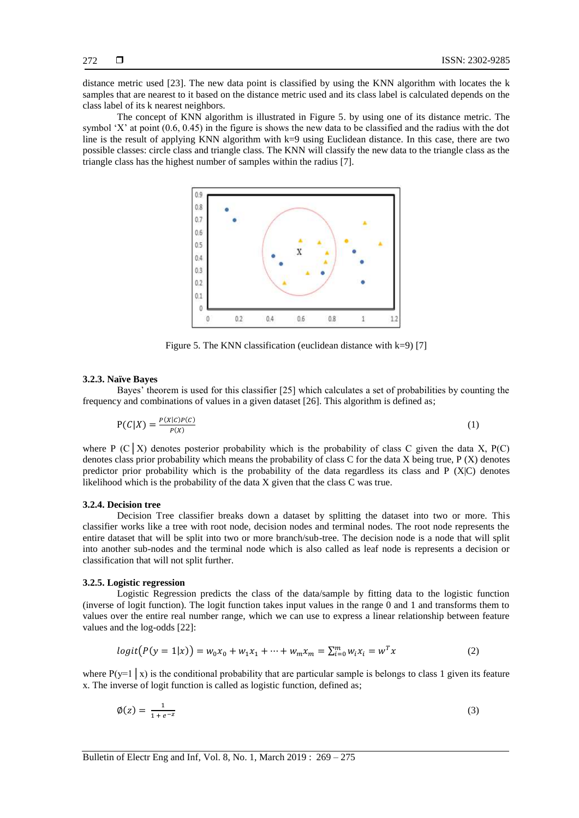distance metric used [23]. The new data point is classified by using the KNN algorithm with locates the k samples that are nearest to it based on the distance metric used and its class label is calculated depends on the class label of its k nearest neighbors.

The concept of KNN algorithm is illustrated in Figure 5. by using one of its distance metric. The symbol 'X' at point (0.6, 0.45) in the figure is shows the new data to be classified and the radius with the dot line is the result of applying KNN algorithm with  $k=9$  using Euclidean distance. In this case, there are two possible classes: circle class and triangle class. The KNN will classify the new data to the triangle class as the triangle class has the highest number of samples within the radius [7].



Figure 5. The KNN classification (euclidean distance with k=9) [7]

#### **3.2.3. Naïve Bayes**

Bayes' theorem is used for this classifier [25] which calculates a set of probabilities by counting the frequency and combinations of values in a given dataset [26]. This algorithm is defined as;

$$
P(C|X) = \frac{P(X|C)P(C)}{P(X)}
$$
\n<sup>(1)</sup>

where P (C  $\mid$  X) denotes posterior probability which is the probability of class C given the data X, P(C) denotes class prior probability which means the probability of class C for the data X being true, P (X) denotes predictor prior probability which is the probability of the data regardless its class and P (X|C) denotes likelihood which is the probability of the data X given that the class C was true.

## **3.2.4. Decision tree**

Decision Tree classifier breaks down a dataset by splitting the dataset into two or more. This classifier works like a tree with root node, decision nodes and terminal nodes. The root node represents the entire dataset that will be split into two or more branch/sub-tree. The decision node is a node that will split into another sub-nodes and the terminal node which is also called as leaf node is represents a decision or classification that will not split further.

#### **3.2.5. Logistic regression**

Logistic Regression predicts the class of the data/sample by fitting data to the logistic function (inverse of logit function). The logit function takes input values in the range 0 and 1 and transforms them to values over the entire real number range, which we can use to express a linear relationship between feature values and the log-odds [22]:

$$
logit(P(y = 1|x)) = w_0 x_0 + w_1 x_1 + \dots + w_m x_m = \sum_{i=0}^{m} w_i x_i = w^T x
$$
\n(2)

where  $P(y=1 | x)$  is the conditional probability that are particular sample is belongs to class 1 given its feature x. The inverse of logit function is called as logistic function, defined as;

$$
\phi(z) = \frac{1}{1 + e^{-z}}\tag{3}
$$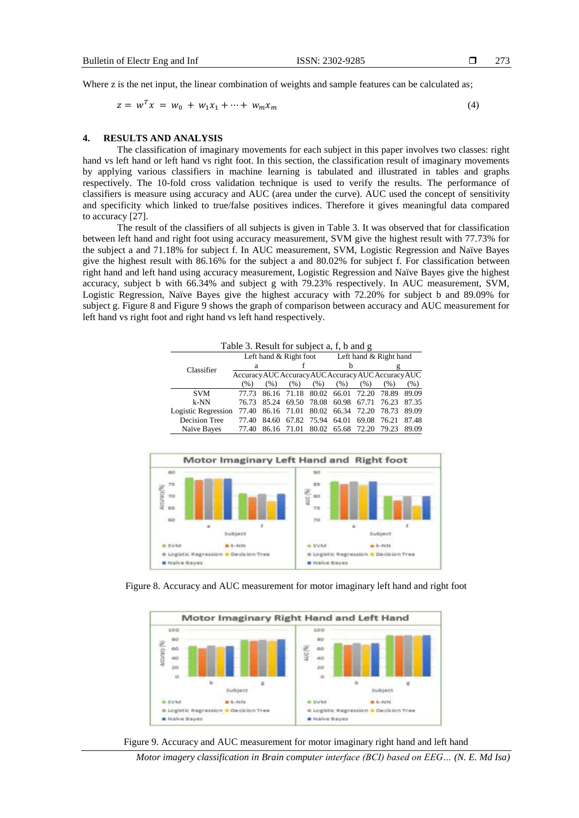Where z is the net input, the linear combination of weights and sample features can be calculated as;

$$
z = w^T x = w_0 + w_1 x_1 + \dots + w_m x_m \tag{4}
$$

#### **4. RESULTS AND ANALYSIS**

The classification of imaginary movements for each subject in this paper involves two classes: right hand vs left hand or left hand vs right foot. In this section, the classification result of imaginary movements by applying various classifiers in machine learning is tabulated and illustrated in tables and graphs respectively. The 10-fold cross validation technique is used to verify the results. The performance of classifiers is measure using accuracy and AUC (area under the curve). AUC used the concept of sensitivity and specificity which linked to true/false positives indices. Therefore it gives meaningful data compared to accuracy [27].

The result of the classifiers of all subjects is given in Table 3. It was observed that for classification between left hand and right foot using accuracy measurement, SVM give the highest result with 77.73% for the subject a and 71.18% for subject f. In AUC measurement, SVM, Logistic Regression and Naïve Bayes give the highest result with 86.16% for the subject a and 80.02% for subject f. For classification between right hand and left hand using accuracy measurement, Logistic Regression and Naïve Bayes give the highest accuracy, subject b with 66.34% and subject g with 79.23% respectively. In AUC measurement, SVM, Logistic Regression, Naïve Bayes give the highest accuracy with 72.20% for subject b and 89.09% for subject g. Figure 8 and Figure 9 shows the graph of comparison between accuracy and AUC measurement for left hand vs right foot and right hand vs left hand respectively.

| Table 3. Result for subject a, f, b and g |                                                     |       |             |                        |                   |             |       |         |  |  |
|-------------------------------------------|-----------------------------------------------------|-------|-------------|------------------------|-------------------|-------------|-------|---------|--|--|
|                                           | Left hand $&$ Right foot                            |       |             | Left hand & Right hand |                   |             |       |         |  |  |
| Classifier                                | a                                                   |       |             |                        | h                 |             |       |         |  |  |
|                                           | Accuracy AUC Accuracy AUC Accuracy AUC Accuracy AUC |       |             |                        |                   |             |       |         |  |  |
|                                           | (% )                                                | (%)   | (% )        | (% )                   | (% )              | (% )        | (% )  | $(\% )$ |  |  |
| <b>SVM</b>                                | 77.73                                               |       | 86.16 71.18 | 80.02                  | 66.01             | 72.20       | 78.89 | 89.09   |  |  |
| $k-NN$                                    | 76.73                                               | 85.24 |             | 69.50 78.08            | 60.98             | 67.71       | 76.23 | 87.35   |  |  |
| Logistic Regression                       | 77.40                                               |       | 86.16 71.01 |                        | 80.02 66.34 72.20 |             | 78.73 | 89.09   |  |  |
| Decision Tree                             | 77.40                                               | 84.60 |             | 67.82 75.94            | 64.01             | 69.08       | 76.21 | 87.48   |  |  |
| Naïve Bayes                               | 77.40                                               |       | 86.16 71.01 | 80.02                  |                   | 65.68 72.20 | 79.23 | 89.09   |  |  |



Figure 8. Accuracy and AUC measurement for motor imaginary left hand and right foot





*Motor imagery classification in Brain computer interface (BCI) based on EEG… (N. E. Md Isa)*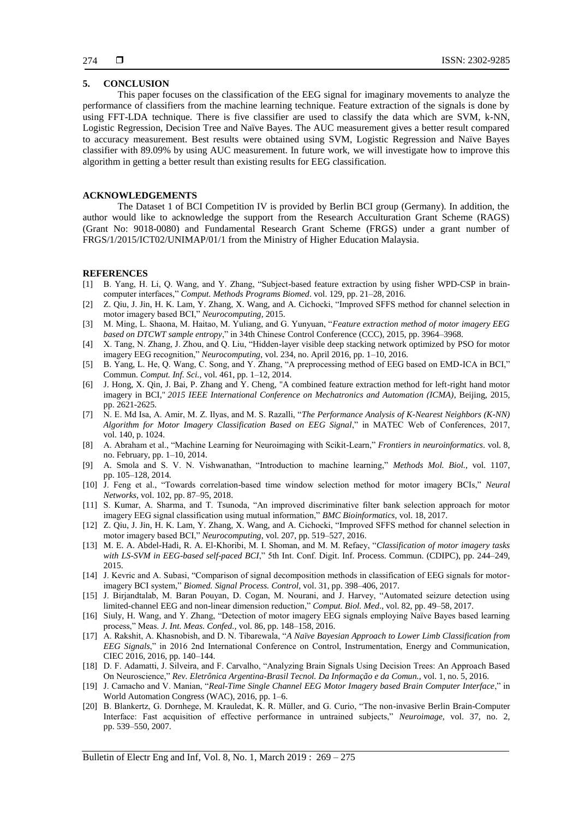## **5. CONCLUSION**

This paper focuses on the classification of the EEG signal for imaginary movements to analyze the performance of classifiers from the machine learning technique. Feature extraction of the signals is done by using FFT-LDA technique. There is five classifier are used to classify the data which are SVM, k-NN, Logistic Regression, Decision Tree and Naïve Bayes. The AUC measurement gives a better result compared to accuracy measurement. Best results were obtained using SVM, Logistic Regression and Naïve Bayes classifier with 89.09% by using AUC measurement. In future work, we will investigate how to improve this algorithm in getting a better result than existing results for EEG classification.

## **ACKNOWLEDGEMENTS**

The Dataset 1 of BCI Competition IV is provided by Berlin BCI group (Germany). In addition, the author would like to acknowledge the support from the Research Acculturation Grant Scheme (RAGS) (Grant No: 9018-0080) and Fundamental Research Grant Scheme (FRGS) under a grant number of FRGS/1/2015/ICT02/UNIMAP/01/1 from the Ministry of Higher Education Malaysia.

#### **REFERENCES**

- [1] B. Yang, H. Li, Q. Wang, and Y. Zhang, "Subject-based feature extraction by using fisher WPD-CSP in braincomputer interfaces," *Comput. Methods Programs Biomed*. vol. 129, pp. 21–28, 2016.
- [2] Z. Qiu, J. Jin, H. K. Lam, Y. Zhang, X. Wang, and A. Cichocki, "Improved SFFS method for channel selection in motor imagery based BCI," *Neurocomputing,* 2015.
- [3] M. Ming, L. Shaona, M. Haitao, M. Yuliang, and G. Yunyuan, "*Feature extraction method of motor imagery EEG based on DTCWT sample entropy*," in 34th Chinese Control Conference (CCC), 2015, pp. 3964–3968.
- [4] X. Tang, N. Zhang, J. Zhou, and Q. Liu, "Hidden-layer visible deep stacking network optimized by PSO for motor imagery EEG recognition," *Neurocomputing*, vol. 234, no. April 2016, pp. 1–10, 2016.
- [5] B. Yang, L. He, Q. Wang, C. Song, and Y. Zhang, "A preprocessing method of EEG based on EMD-ICA in BCI," Commun. *Comput. Inf. Sci.,* vol. 461, pp. 1–12, 2014.
- [6] J. Hong, X. Qin, J. Bai, P. Zhang and Y. Cheng, "A combined feature extraction method for left-right hand motor imagery in BCI," *2015 IEEE International Conference on Mechatronics and Automation (ICMA)*, Beijing, 2015, pp. 2621-2625.
- [7] N. E. Md Isa, A. Amir, M. Z. Ilyas, and M. S. Razalli, "*The Performance Analysis of K-Nearest Neighbors (K-NN) Algorithm for Motor Imagery Classification Based on EEG Signal*," in MATEC Web of Conferences, 2017, vol. 140, p. 1024.
- [8] A. Abraham et al., "Machine Learning for Neuroimaging with Scikit-Learn," *Frontiers in neuroinformatics*. vol. 8, no. February, pp. 1–10, 2014.
- [9] A. Smola and S. V. N. Vishwanathan, "Introduction to machine learning," *Methods Mol. Biol.,* vol. 1107, pp. 105–128, 2014.
- [10] J. Feng et al., "Towards correlation-based time window selection method for motor imagery BCIs," *Neural Networks*, vol. 102, pp. 87–95, 2018.
- [11] S. Kumar, A. Sharma, and T. Tsunoda, "An improved discriminative filter bank selection approach for motor imagery EEG signal classification using mutual information," *BMC Bioinformatics,* vol. 18, 2017.
- [12] Z. Qiu, J. Jin, H. K. Lam, Y. Zhang, X. Wang, and A. Cichocki, "Improved SFFS method for channel selection in motor imagery based BCI," *Neurocomputing*, vol. 207, pp. 519–527, 2016.
- [13] M. E. A. Abdel-Hadi, R. A. El-Khoribi, M. I. Shoman, and M. M. Refaey, "*Classification of motor imagery tasks with LS-SVM in EEG-based self-paced BCI*," 5th Int. Conf. Digit. Inf. Process. Commun. (CDIPC), pp. 244–249, 2015.
- [14] J. Kevric and A. Subasi, "Comparison of signal decomposition methods in classification of EEG signals for motorimagery BCI system," *Biomed. Signal Process. Control*, vol. 31, pp. 398–406, 2017.
- [15] J. Birjandtalab, M. Baran Pouyan, D. Cogan, M. Nourani, and J. Harvey, "Automated seizure detection using limited-channel EEG and non-linear dimension reduction," *Comput. Biol. Med*., vol. 82, pp. 49–58, 2017.
- [16] Siuly, H. Wang, and Y. Zhang, "Detection of motor imagery EEG signals employing Naïve Bayes based learning process," Meas. *J. Int. Meas. Confed.,* vol. 86, pp. 148–158, 2016.
- [17] A. Rakshit, A. Khasnobish, and D. N. Tibarewala, "*A Naïve Bayesian Approach to Lower Limb Classification from EEG Signals*," in 2016 2nd International Conference on Control, Instrumentation, Energy and Communication, CIEC 2016, 2016, pp. 140–144.
- [18] D. F. Adamatti, J. Silveira, and F. Carvalho, "Analyzing Brain Signals Using Decision Trees: An Approach Based On Neuroscience," *Rev. Eletrônica Argentina-Brasil Tecnol. Da Informação e da Comun.,* vol. 1, no. 5, 2016.
- [19] J. Camacho and V. Manian, "*Real-Time Single Channel EEG Motor Imagery based Brain Computer Interface*," in World Automation Congress (WAC), 2016, pp. 1–6.
- [20] B. Blankertz, G. Dornhege, M. Krauledat, K. R. Müller, and G. Curio, "The non-invasive Berlin Brain-Computer Interface: Fast acquisition of effective performance in untrained subjects," *Neuroimage*, vol. 37, no. 2, pp. 539–550, 2007.